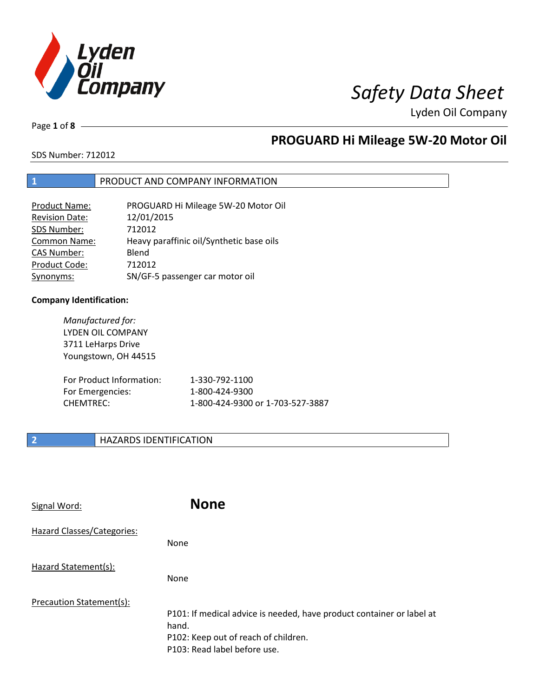

Page **1** of **8**

# **PROGUARD Hi Mileage 5W-20 Motor Oil**

SDS Number: 712012

## **1** PRODUCT AND COMPANY INFORMATION

| PROGUARD Hi Mileage 5W-20 Motor Oil      |
|------------------------------------------|
| 12/01/2015                               |
| 712012                                   |
| Heavy paraffinic oil/Synthetic base oils |
| Blend                                    |
| 712012                                   |
| SN/GF-5 passenger car motor oil          |
|                                          |

## **Company Identification:**

| Manufactured for:<br>LYDEN OIL COMPANY<br>3711 LeHarps Drive<br>Youngstown, OH 44515 |                                  |
|--------------------------------------------------------------------------------------|----------------------------------|
| For Product Information:                                                             | 1-330-792-1100                   |
| For Emergencies:                                                                     | 1-800-424-9300                   |
| <b>CHEMTREC:</b>                                                                     | 1-800-424-9300 or 1-703-527-3887 |

## **2 HAZARDS IDENTIFICATION**

| Signal Word:               | <b>None</b>                                                                                                                                            |
|----------------------------|--------------------------------------------------------------------------------------------------------------------------------------------------------|
| Hazard Classes/Categories: | <b>None</b>                                                                                                                                            |
| Hazard Statement(s):       | <b>None</b>                                                                                                                                            |
| Precaution Statement(s):   | P101: If medical advice is needed, have product container or label at<br>hand.<br>P102: Keep out of reach of children.<br>P103: Read label before use. |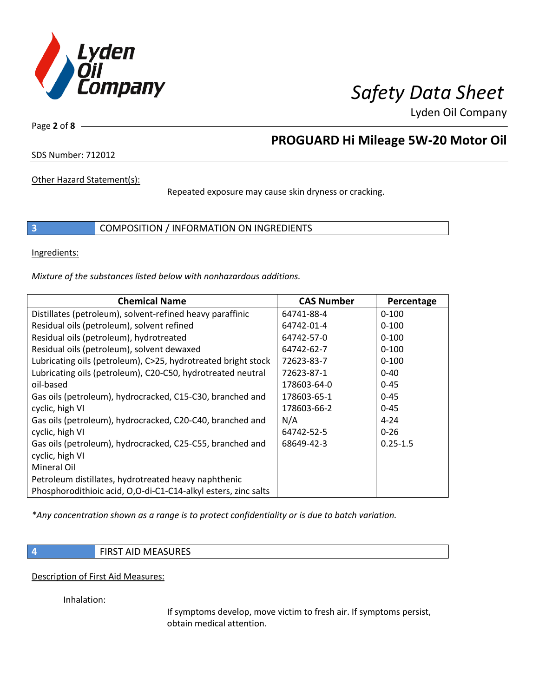

Page **2** of **8**

# **PROGUARD Hi Mileage 5W-20 Motor Oil**

SDS Number: 712012

Other Hazard Statement(s):

Repeated exposure may cause skin dryness or cracking.

**3** COMPOSITION / INFORMATION ON INGREDIENTS

Ingredients:

*Mixture of the substances listed below with nonhazardous additions.*

| <b>Chemical Name</b>                                           | <b>CAS Number</b> | Percentage   |
|----------------------------------------------------------------|-------------------|--------------|
| Distillates (petroleum), solvent-refined heavy paraffinic      | 64741-88-4        | $0 - 100$    |
| Residual oils (petroleum), solvent refined                     | 64742-01-4        | $0 - 100$    |
| Residual oils (petroleum), hydrotreated                        | 64742-57-0        | $0 - 100$    |
| Residual oils (petroleum), solvent dewaxed                     | 64742-62-7        | $0 - 100$    |
| Lubricating oils (petroleum), C>25, hydrotreated bright stock  | 72623-83-7        | $0 - 100$    |
| Lubricating oils (petroleum), C20-C50, hydrotreated neutral    | 72623-87-1        | $0 - 40$     |
| oil-based                                                      | 178603-64-0       | $0 - 45$     |
| Gas oils (petroleum), hydrocracked, C15-C30, branched and      | 178603-65-1       | $0 - 45$     |
| cyclic, high VI                                                | 178603-66-2       | $0 - 45$     |
| Gas oils (petroleum), hydrocracked, C20-C40, branched and      | N/A               | $4 - 24$     |
| cyclic, high VI                                                | 64742-52-5        | $0 - 26$     |
| Gas oils (petroleum), hydrocracked, C25-C55, branched and      | 68649-42-3        | $0.25 - 1.5$ |
| cyclic, high VI                                                |                   |              |
| Mineral Oil                                                    |                   |              |
| Petroleum distillates, hydrotreated heavy naphthenic           |                   |              |
| Phosphorodithioic acid, O,O-di-C1-C14-alkyl esters, zinc salts |                   |              |

*\*Any concentration shown as a range is to protect confidentiality or is due to batch variation.*

**4 FIRST AID MEASURES** 

Description of First Aid Measures:

Inhalation:

If symptoms develop, move victim to fresh air. If symptoms persist, obtain medical attention.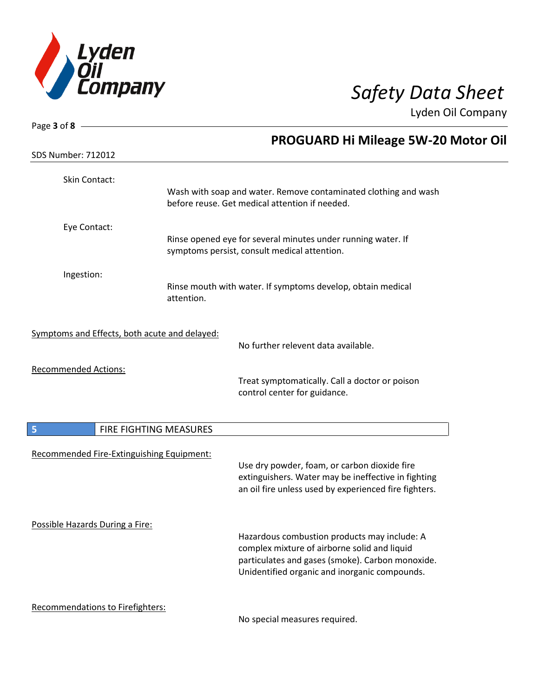

| Page 3 of 8 $-$                               |                                                                                                                                                              |
|-----------------------------------------------|--------------------------------------------------------------------------------------------------------------------------------------------------------------|
|                                               | <b>PROGUARD Hi Mileage 5W-20 Motor Oil</b>                                                                                                                   |
| <b>SDS Number: 712012</b>                     |                                                                                                                                                              |
| Skin Contact:                                 |                                                                                                                                                              |
|                                               | Wash with soap and water. Remove contaminated clothing and wash<br>before reuse. Get medical attention if needed.                                            |
| Eye Contact:                                  |                                                                                                                                                              |
|                                               | Rinse opened eye for several minutes under running water. If<br>symptoms persist, consult medical attention.                                                 |
| Ingestion:                                    |                                                                                                                                                              |
|                                               | Rinse mouth with water. If symptoms develop, obtain medical<br>attention.                                                                                    |
| Symptoms and Effects, both acute and delayed: |                                                                                                                                                              |
|                                               | No further relevent data available.                                                                                                                          |
| <b>Recommended Actions:</b>                   |                                                                                                                                                              |
|                                               | Treat symptomatically. Call a doctor or poison<br>control center for guidance.                                                                               |
| 5                                             | FIRE FIGHTING MEASURES                                                                                                                                       |
| Recommended Fire-Extinguishing Equipment:     |                                                                                                                                                              |
|                                               | Use dry powder, foam, or carbon dioxide fire<br>extinguishers. Water may be ineffective in fighting<br>an oil fire unless used by experienced fire fighters. |
| Possible Hazards During a Fire:               | Hazardous combustion products may include: A                                                                                                                 |
|                                               | complex mixture of airborne solid and liquid                                                                                                                 |
|                                               | particulates and gases (smoke). Carbon monoxide.<br>Unidentified organic and inorganic compounds.                                                            |
| Recommendations to Firefighters:              | No special measures required.                                                                                                                                |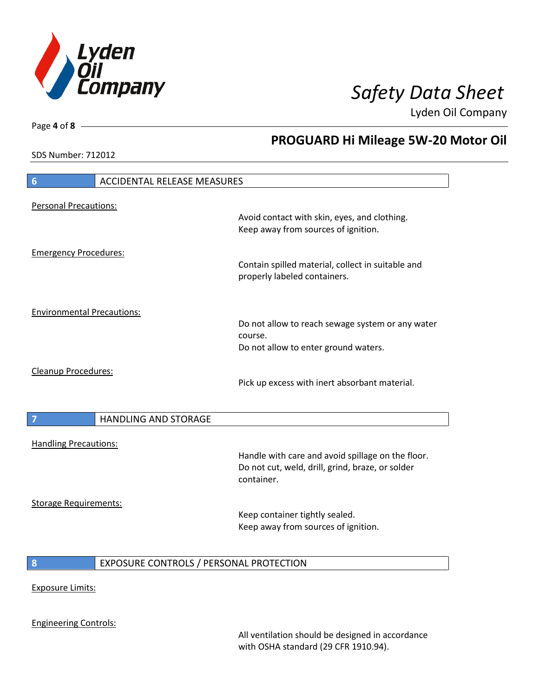

**PROGUARD Hi Mileage 5W-20 Motor Oil**

Lyden Oil Company

SDS Number: 712012

Page **4** of **8**

# **6** ACCIDENTAL RELEASE MEASURES Personal Precautions: Avoid contact with skin, eyes, and clothing. Keep away from sources of ignition. Emergency Procedures: Contain spilled material, collect in suitable and properly labeled containers. Environmental Precautions: Do not allow to reach sewage system or any water course. Do not allow to enter ground waters. Cleanup Procedures: Pick up excess with inert absorbant material. **7 HANDLING AND STORAGE** Handling Precautions: Handle with care and avoid spillage on the floor. Do not cut, weld, drill, grind, braze, or solder container. Storage Requirements: Keep container tightly sealed. Keep away from sources of ignition. **8** EXPOSURE CONTROLS / PERSONAL PROTECTION Exposure Limits: Engineering Controls:

All ventilation should be designed in accordance with OSHA standard (29 CFR 1910.94).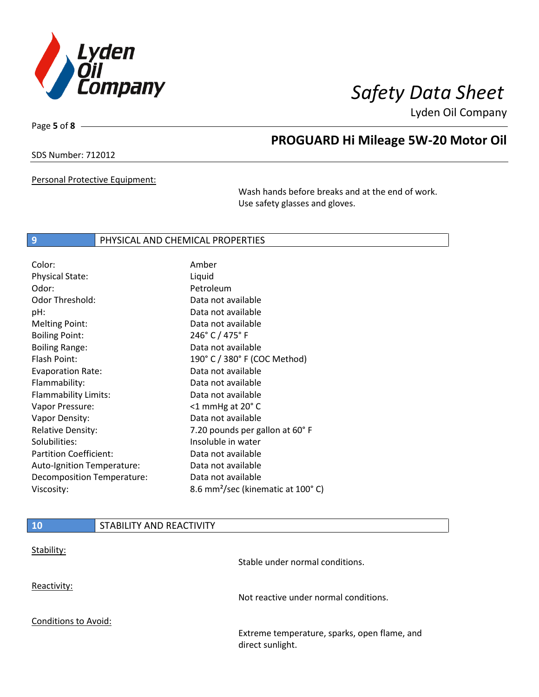

Page **5** of **8**

# **PROGUARD Hi Mileage 5W-20 Motor Oil**

SDS Number: 712012

Personal Protective Equipment:

Wash hands before breaks and at the end of work. Use safety glasses and gloves.

## **9** PHYSICAL AND CHEMICAL PROPERTIES

| Color:                        | Amber                                         |
|-------------------------------|-----------------------------------------------|
| <b>Physical State:</b>        | Liquid                                        |
| Odor:                         | Petroleum                                     |
| <b>Odor Threshold:</b>        | Data not available                            |
| pH:                           | Data not available                            |
| <b>Melting Point:</b>         | Data not available                            |
| <b>Boiling Point:</b>         | 246° C / 475° F                               |
| <b>Boiling Range:</b>         | Data not available                            |
| Flash Point:                  | 190° C / 380° F (COC Method)                  |
| <b>Evaporation Rate:</b>      | Data not available                            |
| Flammability:                 | Data not available                            |
| Flammability Limits:          | Data not available                            |
| Vapor Pressure:               | $<$ 1 mmHg at 20 $^{\circ}$ C                 |
| Vapor Density:                | Data not available                            |
| <b>Relative Density:</b>      | 7.20 pounds per gallon at 60°F                |
| Solubilities:                 | Insoluble in water                            |
| <b>Partition Coefficient:</b> | Data not available                            |
| Auto-Ignition Temperature:    | Data not available                            |
| Decomposition Temperature:    | Data not available                            |
| Viscosity:                    | 8.6 mm <sup>2</sup> /sec (kinematic at 100°C) |

| <b>10</b>                   | STABILITY AND REACTIVITY |                                                                  |
|-----------------------------|--------------------------|------------------------------------------------------------------|
| Stability:                  |                          | Stable under normal conditions.                                  |
| Reactivity:                 |                          | Not reactive under normal conditions.                            |
| <b>Conditions to Avoid:</b> |                          |                                                                  |
|                             |                          | Extreme temperature, sparks, open flame, and<br>direct sunlight. |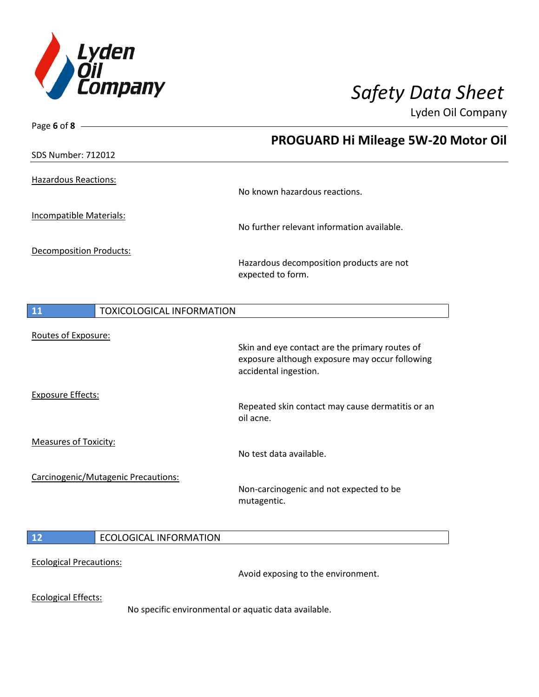

| Page 6 of 8 $-$                        |                                                      |
|----------------------------------------|------------------------------------------------------|
|                                        | PROGUARD Hi Mileage 5W-20 Motor Oil                  |
| <b>SDS Number: 712012</b>              |                                                      |
|                                        |                                                      |
| <b>Hazardous Reactions:</b>            | No known hazardous reactions.                        |
|                                        |                                                      |
| <b>Incompatible Materials:</b>         |                                                      |
|                                        | No further relevant information available.           |
| <b>Decomposition Products:</b>         |                                                      |
|                                        | Hazardous decomposition products are not             |
|                                        | expected to form.                                    |
|                                        |                                                      |
| 11<br><b>TOXICOLOGICAL INFORMATION</b> |                                                      |
| Routes of Exposure:                    |                                                      |
|                                        | Skin and eye contact are the primary routes of       |
|                                        | exposure although exposure may occur following       |
|                                        | accidental ingestion.                                |
| <b>Exposure Effects:</b>               |                                                      |
|                                        | Repeated skin contact may cause dermatitis or an     |
|                                        | oil acne.                                            |
| <b>Measures of Toxicity:</b>           |                                                      |
|                                        | No test data available.                              |
| Carcinogenic/Mutagenic Precautions:    |                                                      |
|                                        | Non-carcinogenic and not expected to be              |
|                                        | mutagentic.                                          |
|                                        |                                                      |
| 12<br><b>ECOLOGICAL INFORMATION</b>    |                                                      |
|                                        |                                                      |
| <b>Ecological Precautions:</b>         | Avoid exposing to the environment.                   |
|                                        |                                                      |
| <b>Ecological Effects:</b>             |                                                      |
|                                        | No specific environmental or aquatic data available. |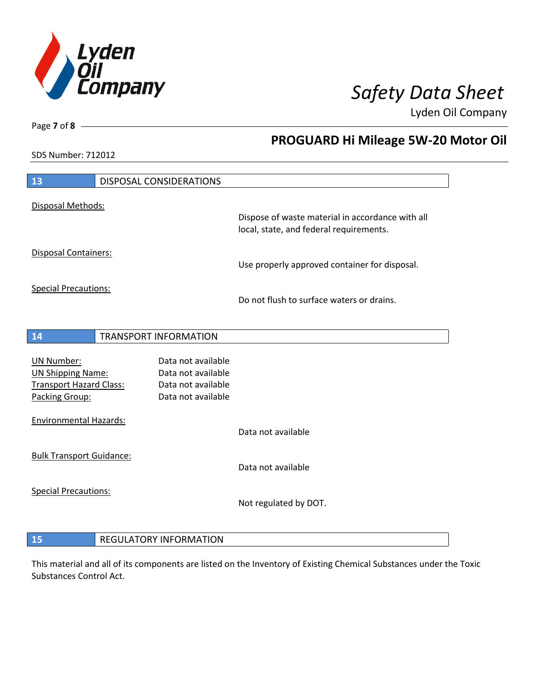

**PROGUARD Hi Mileage 5W-20 Motor Oil**

Lyden Oil Company

SDS Number: 712012

Page **7** of **8**

| 13                                            | DISPOSAL CONSIDERATIONS                  |                                                                                             |
|-----------------------------------------------|------------------------------------------|---------------------------------------------------------------------------------------------|
| Disposal Methods:                             |                                          |                                                                                             |
|                                               |                                          | Dispose of waste material in accordance with all<br>local, state, and federal requirements. |
| Disposal Containers:                          |                                          | Use properly approved container for disposal.                                               |
| <b>Special Precautions:</b>                   |                                          | Do not flush to surface waters or drains.                                                   |
| 14                                            | <b>TRANSPORT INFORMATION</b>             |                                                                                             |
|                                               |                                          |                                                                                             |
| <b>UN Number:</b><br><b>UN Shipping Name:</b> | Data not available<br>Data not available |                                                                                             |
| <b>Transport Hazard Class:</b>                | Data not available                       |                                                                                             |
| Packing Group:                                | Data not available                       |                                                                                             |
| <b>Environmental Hazards:</b>                 |                                          |                                                                                             |
|                                               |                                          | Data not available                                                                          |
| <b>Bulk Transport Guidance:</b>               |                                          |                                                                                             |
|                                               |                                          | Data not available                                                                          |
| <b>Special Precautions:</b>                   |                                          |                                                                                             |
|                                               |                                          | Not regulated by DOT.                                                                       |
|                                               |                                          |                                                                                             |
| 15                                            | <b>REGULATORY INFORMATION</b>            |                                                                                             |

This material and all of its components are listed on the Inventory of Existing Chemical Substances under the Toxic Substances Control Act.